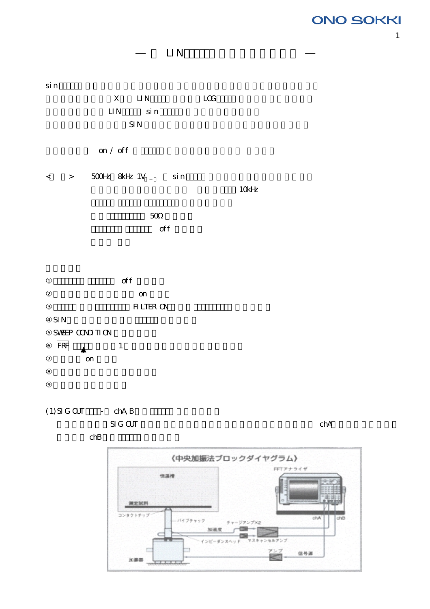# **ONO SOKKI**

# LI<sub>N</sub>

sin the transfer that the state and a state state and a state state and a state of the state state and a state of the state of the state of the state of the state of the state of the state of the state of the state of the X LIN LOG LIN Sin  $\mathsf{SIN}$ 

< > 500Hz 8kHz 1V sin

on / off

 $10kHz$  $\sim$  50 $\sim$  $\sigma$  of f

> off on

FILTER ON  $\mathsf{SIN}$ SWEEP CONDITION  $\begin{array}{ccc} \n\overline{\text{FRF}} & \longrightarrow & 1\n\end{array}$ on

 $(1)$  SIG OUT - chA, B

 $\mathbb{S}$ IG OUT  $\mathbb{S}$  chA

 $chB$ 



1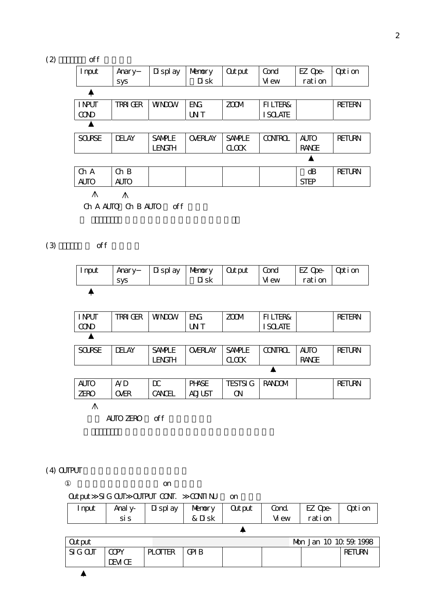| (2) | off           |                |               |                 |                   |                |              |               |
|-----|---------------|----------------|---------------|-----------------|-------------------|----------------|--------------|---------------|
|     | I nput        | Anary          | Di spl ay     | Nemory          | <b>Output</b>     | Cond           | EZ Ope-      | Opti on       |
|     |               | sys            |               | Di sk           |                   | Vi ew          | rati on      |               |
|     |               |                |               |                 |                   |                |              |               |
|     | I NPUT        | <b>TRRIGER</b> | <b>WNDOW</b>  | <b>ENG</b>      | <b>ZCOM</b>       | FI LTER&       |              | <b>RETERN</b> |
|     | <b>COND</b>   |                |               | UN <sub>T</sub> |                   | I SOLATE       |              |               |
|     |               |                |               |                 |                   |                |              |               |
|     | <b>SOURSE</b> | <b>DELAY</b>   | <b>SANPLE</b> | <b>OVERLAY</b>  | <b>SANPLE</b>     | <b>CONTROL</b> | <b>AUTO</b>  | <b>RETURN</b> |
|     |               |                | <b>LENGTH</b> |                 | $\alpha$ $\alpha$ |                | <b>RANGE</b> |               |
|     |               |                |               |                 |                   |                |              |               |
|     | ChA           | $Ch$ B         |               |                 |                   |                | dB           | <b>RETURN</b> |
|     | <b>AUTO</b>   | <b>AUTO</b>    |               |                 |                   |                | <b>STEP</b>  |               |
|     | ∧             | ∧              |               |                 |                   |                |              |               |

Ch A AUTO Ch B AUTO off

 $(3)$  off

| I nput | Anary      | Di spl ay | Mamory   Cutput | Cond  | EZ Ope-   Option |  |
|--------|------------|-----------|-----------------|-------|------------------|--|
|        | <b>SVS</b> |           | Di sk           | Vi ew | rati on          |  |

| I NPUT        | trriger      | <b>WNDOW</b>  | <b>ENG</b>      | <b>ZCOM</b>       | FI LTER&       |              | <b>RETERN</b> |
|---------------|--------------|---------------|-----------------|-------------------|----------------|--------------|---------------|
| <b>COND</b>   |              |               | UN <sub>T</sub> |                   | <b>SOLATE</b>  |              |               |
|               |              |               |                 |                   |                |              |               |
| <b>SOURSE</b> | <b>DELAY</b> | <b>SANPLE</b> | <b>OVERLAY</b>  | <b>SANPLE</b>     | <b>CONTROL</b> | <b>AUTO</b>  | <b>RETURN</b> |
|               |              | <b>LENGTH</b> |                 | $\alpha$ $\alpha$ |                | <b>RANGE</b> |               |
|               |              |               |                 |                   |                |              |               |
| <b>AUTO</b>   | A/D          | $\alpha$      | <b>PHASE</b>    | <b>TESTSI G</b>   | <b>RANDOM</b>  |              | <b>RETURN</b> |
| <b>ZERO</b>   | <b>OVER</b>  | CANCEL        | <b>ADJUST</b>   | <b>CN</b>         |                |              |               |
| ⋀             |              |               |                 |                   |                |              |               |

AUTO ZERO off

 $(4)$   $\alpha$  TPUT

|               |                      | on             |                 |               |       |         |               |
|---------------|----------------------|----------------|-----------------|---------------|-------|---------|---------------|
| <b>Output</b> | SIG OUT OUTPUT CONT. |                | <b>CONTI NU</b> | on            |       |         |               |
| I nput        | Anal y-              | Di spl ay      | Nemory          | <b>Output</b> | Cond. | EZ Ope- | Opti on       |
|               | si s                 |                | & Disk          |               | Vi ew | rati on |               |
|               |                      |                |                 |               |       |         |               |
| <b>Output</b> |                      |                |                 |               |       |         |               |
| $SI$ $G$ $O$  | <b>COPY</b>          | <b>PLOTTER</b> | <b>GPIB</b>     |               |       |         | <b>RETURN</b> |
|               | DEVI CE              |                |                 |               |       |         |               |
|               |                      |                |                 |               |       |         |               |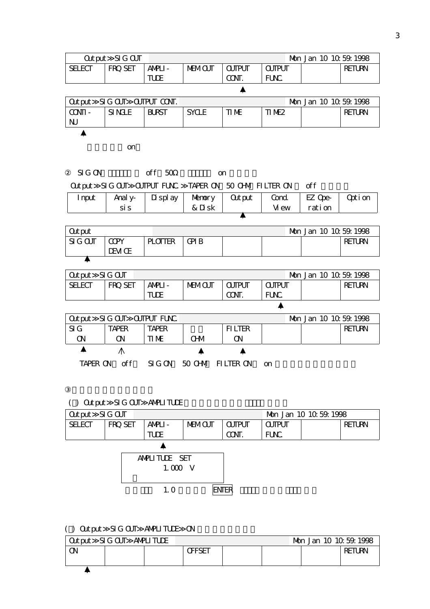| <b>Output</b>        | SI G CUT             |                             |                  |                |                           | Mon Jan 10 10 59 1998 |               |
|----------------------|----------------------|-----------------------------|------------------|----------------|---------------------------|-----------------------|---------------|
| <b>SELECT</b>        | FRQ SET              | ANPLI-                      | <b>MEMOUT</b>    | <b>CUTPUT</b>  | <b>CUTPUT</b>             |                       | <b>RETURN</b> |
|                      |                      | <b>TUDE</b>                 |                  | CONT.          | FUNC.                     |                       |               |
|                      |                      |                             |                  | ▲              |                           |                       |               |
| <b>Out put</b>       | SIG OUT OUTPUT CONT. |                             |                  |                |                           | Mon Jan 10 10 59 1998 |               |
| $CONII -$            | SI NGLE              | <b>BURST</b>                | <b>SYCLE</b>     | TI ME          | TIME <sub>2</sub>         |                       | <b>RETURN</b> |
| $\mathsf{N}$         |                      |                             |                  |                |                           |                       |               |
|                      |                      |                             |                  |                |                           |                       |               |
|                      | on                   |                             |                  |                |                           |                       |               |
|                      |                      |                             |                  |                |                           |                       |               |
| $SI$ $G$ $ON$        |                      | off 50                      |                  | <b>on</b>      |                           |                       |               |
|                      |                      | Output SIG OUT OUTPUT FUNC. |                  |                | TAPER ON 50 CHM FILTER ON | off                   |               |
| I nput               | Anal y-              | Di spl ay                   | Memory           | <b>Out put</b> | Cond.                     | EZ Qpe-               | Opti on       |
|                      | si s                 |                             | & Disk           |                | Vi ew                     | rati on               |               |
|                      |                      |                             |                  |                |                           |                       |               |
| <b>Out put</b>       |                      |                             |                  |                |                           | Mon Jan 10 10 59 1998 |               |
| $SI$ $G$ $O$ $J$ $T$ | <b>CCPY</b>          | <b>PLOTTER</b>              | <b>GPIB</b>      |                |                           |                       | <b>RETURN</b> |
|                      | DEVI CE              |                             |                  |                |                           |                       |               |
| ▲                    |                      |                             |                  |                |                           |                       |               |
| <b>Out put</b>       | SIG CUT              |                             |                  |                |                           | Mon Jan 10 10 59 1998 |               |
| <b>SELECT</b>        | FRQ SET              | ANPLI-                      | <b>MEMOUT</b>    | <b>CUTPUT</b>  | <b>CUTPUT</b>             |                       | <b>RETURN</b> |
|                      |                      | <b>TUDE</b>                 |                  | CONT.          | FUNC.                     |                       |               |
|                      |                      |                             |                  |                | ▲                         |                       |               |
| <b>Out put</b>       | SIG OUT OUTPUT FUNC. |                             |                  |                |                           | Mon Jan 10 10 59 1998 |               |
| SI <sub>G</sub>      | <b>TAPER</b>         | <b>TAPER</b>                |                  | <b>FILTER</b>  |                           |                       | <b>RETURN</b> |
| QN                   | $\alpha$             | TI ME                       | <b>CHM</b>       | $\alpha$       |                           |                       |               |
| Δ                    | $\wedge$             |                             |                  |                |                           |                       |               |
| TAPER ON             | of f                 | SIG ON                      | 50 CHM FILTER ON |                | on                        |                       |               |
|                      |                      |                             |                  |                |                           |                       |               |

# ( ) Output SIG OUT AMPLITUDE

| Qutput SIG CUT |         |                |               |               |               | Mon Jan 10 10 59 1998 |               |
|----------------|---------|----------------|---------------|---------------|---------------|-----------------------|---------------|
| <b>SELECT</b>  | FRQ SET | ANPLI-         | <b>MEMOUT</b> | <b>CUTPUT</b> | <b>CUTPUT</b> |                       | <b>RETURN</b> |
|                |         | <b>TUDE</b>    |               | CONT.         | FUNC.         |                       |               |
|                |         |                |               |               |               |                       |               |
|                |         | ANPILITUDE SET |               |               |               |                       |               |
|                |         | $1.000$ V      |               |               |               |                       |               |
|                |         |                |               |               |               |                       |               |
|                |         | 1.0            |               | enter         |               |                       |               |
|                |         |                |               |               |               |                       |               |

## ( ) Output SIG OUT AMPLITUDE ON

|    | Qutput SIG CUT | ANPLITUDE |       |  |  |  |               |
|----|----------------|-----------|-------|--|--|--|---------------|
| O۱ |                |           | ŒFSET |  |  |  | <b>RETURN</b> |
|    |                |           |       |  |  |  |               |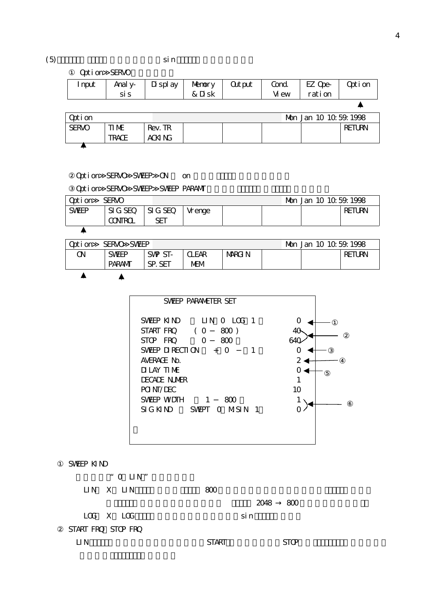#### $(5)$  sin  $\sin$

Option SERVO

| nput | Anal y-<br>si s | Display   Memory   Cutput | & Disk |       | Cond. $\vert$ EZ Ope- $\vert$<br>ration | Opti on |
|------|-----------------|---------------------------|--------|-------|-----------------------------------------|---------|
|      |                 |                           |        | Vi ew |                                         |         |
|      |                 |                           |        |       |                                         |         |

| <b>Option</b> |              |         |  | Mgn Jan 10 10 59 1998 |               |
|---------------|--------------|---------|--|-----------------------|---------------|
| <b>SERVO</b>  | ti me        | Rev. TR |  |                       | <b>RETURN</b> |
|               | <b>TRACE</b> | ACKI NG |  |                       |               |
|               |              |         |  |                       |               |

## Option SERVO SWEEP ON on

Option SERVO SWEEP SWEEP PARAMT

| Opti on      | <b>SERVO</b>                  |     |         |  |               |
|--------------|-------------------------------|-----|---------|--|---------------|
| <b>SWEEP</b> | $SIG$ SEQ $\parallel$ SIG SEQ |     | Vr enge |  | <b>RETURN</b> |
|              | <b>CONTROL</b>                | SET |         |  |               |
|              |                               |     |         |  |               |

| Opti on | <b>SERVO</b><br>SWEEP |         |              |        |  |               |
|---------|-----------------------|---------|--------------|--------|--|---------------|
| ΟN      | <b>SWEEP</b>          | SWP ST- | <b>CLEAR</b> | MARGIN |  | <b>RETURN</b> |
|         | <b>PARAM</b>          | SP. SET | MEM          |        |  |               |
|         |                       |         |              |        |  |               |

| SWEEP PARANETER SET                                |    |
|----------------------------------------------------|----|
| SWEEP KIND LIN O LOG 1<br>Start fro<br>( O<br>800) | ∩  |
| STOP FRO<br>O<br>ണ                                 |    |
| SWEEP DIRECTION $+$<br>O                           |    |
| AVERAGE NO.                                        |    |
| DILAY TIME                                         |    |
| <b>DECADE NUMER</b>                                |    |
| POI NT/DEC                                         | 10 |
| SWFFP WDTH<br>$\sim$ 1<br>ണ                        |    |
| SIGKIND SWEPT OMSIN 1                              |    |
|                                                    |    |
|                                                    |    |
|                                                    |    |

#### SWEEP KIND

| " O $LIN$ "        |          |
|--------------------|----------|
| LIN X LIN          | 800      |
|                    | 2048 800 |
| LOG X LOG          | si n     |
| START FRO STOP FRO |          |

| $1.11$ $1.12$ $1.13$ $1.12$ |              |                                     |  |
|-----------------------------|--------------|-------------------------------------|--|
| 1 N<br>--                   | <b>START</b> | $\sim$ $\sim$<br>È<br>$\sim$ $\sim$ |  |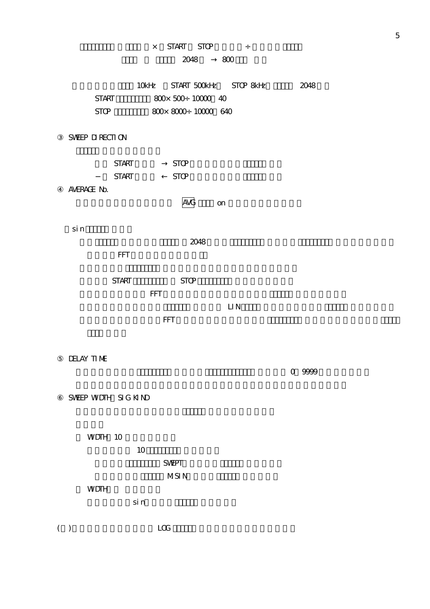## $\times$  START STOP  $\div$

## 2048 800

|              | 10kHz START 500kHz STOP&Hz       | 2048 |
|--------------|----------------------------------|------|
| <b>START</b> | $800 \times 500 \div 10000 = 40$ |      |
| STOP.        | $800 \times 800$ ; $10000$ 640   |      |

## SWEEP DIRECTION

|             | <b>START</b> | <b>STOP</b> |           |  |
|-------------|--------------|-------------|-----------|--|
|             | <b>START</b> | <b>STOP</b> |           |  |
| AVERAGE No. |              |             |           |  |
|             |              |             | <b>on</b> |  |
|             |              |             |           |  |
| si n        |              |             |           |  |

|              |            | 2048        |  |  |  |
|--------------|------------|-------------|--|--|--|
| <b>FFT</b>   |            |             |  |  |  |
| <b>START</b> |            | <b>STOP</b> |  |  |  |
|              | <b>FFT</b> |             |  |  |  |

 $\Box N$  $\mathsf{FFT}$  - The contract of  $\mathsf{FFT}$  - The contract of  $\mathsf{FFT}$  - The contract of  $\mathsf{FFT}$ 

DELAY TIME

 $\sim$  0~9999  $\sim$  0~9999  $\sim$  0~9999  $\sim$  0~9999  $\sim$  0~9999  $\sim$  0~9999  $\sim$  0~9999  $\sim$  0.9999  $\sim$  0.9999  $\sim$  0.9999  $\sim$ 

SWEEP WUDTH SIG KIND

WDTH 10

|             | 10 |              |  |  |
|-------------|----|--------------|--|--|
|             |    | <b>SVEPT</b> |  |  |
|             |    | MSI N        |  |  |
| <b>WDTH</b> |    |              |  |  |

 $\sin$  n

( ) and  $\Box$  LOG  $\Box$ 

5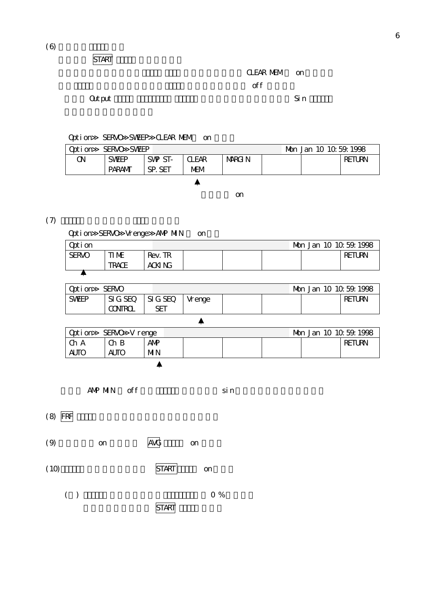START

CLEAR MEM on  $\mathsf{C}$  is the set of the set of the set of the set of the set of the set of the set of the set of the set of the set of the set of the set of the set of the set of the set of the set of the set of the set of the set of

Option SERVO SWEEP CLEAR MEM on

| Opti on<br>SERVO SVEEP |              |         |              |        |  |  |               |  |
|------------------------|--------------|---------|--------------|--------|--|--|---------------|--|
| Œ۷                     | <b>SWFP</b>  | SWP ST- | <b>CLEAR</b> | Marg N |  |  | <b>RETURN</b> |  |
|                        | <b>PARAM</b> | SP. SET | MEM          |        |  |  |               |  |
|                        |              |         |              |        |  |  |               |  |

初期値は on

#### $(7)$

Option SERVO Vrenge ANP MIN on

| Opti on      |              |         |  |  |               |
|--------------|--------------|---------|--|--|---------------|
| <b>SERVO</b> | ti me        | Rev. TR |  |  | <b>RETURN</b> |
|              | <b>TRACE</b> | ACKI NG |  |  |               |
|              |              |         |  |  |               |

| Opti on      | <b>SERVO</b>         |     |          |  |        |
|--------------|----------------------|-----|----------|--|--------|
| <b>SWEEP</b> | $SIGSEC$ $SIG$ $SEO$ |     | l Vrenge |  | RETURN |
|              | <b>CONTROL</b>       | SET |          |  |        |
|              |                      |     |          |  |        |

| Qoti on     | SERVO V renge |            |  |  |  |  |        |  |
|-------------|---------------|------------|--|--|--|--|--------|--|
| I Ch A      | $Ch B$        | <b>ANP</b> |  |  |  |  | RETURN |  |
| <b>AUTO</b> | <b>AUTO</b>   | <b>MN</b>  |  |  |  |  |        |  |
|             |               |            |  |  |  |  |        |  |

AMP MIN off sin

 $(8)$  FRF



 $(10)$  START on

( )  $0\%$ 

START

## 最初に Output メニューのスエプトサイン、ランダム信号で測定後、共振点付近を Sin スイープで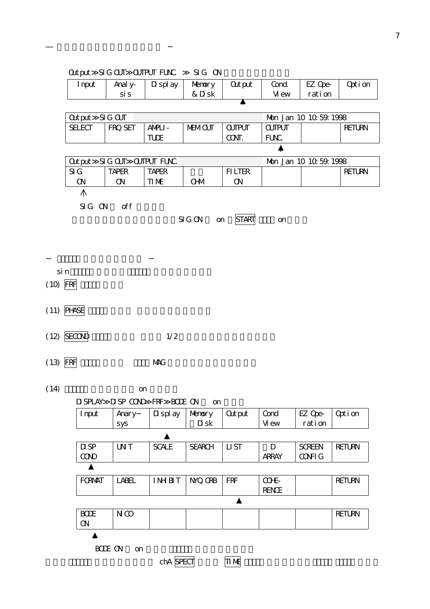|            | <b>Output</b>                      | SIG OUT OUTPUT FUNC. |                               | SIG ON         |                  |               |                       |               |
|------------|------------------------------------|----------------------|-------------------------------|----------------|------------------|---------------|-----------------------|---------------|
|            | I nput                             | Anal y-              | Di spl ay                     | Memory         | <b>Out put</b>   | Cond.         | EZ Ope-               | Opti on       |
|            |                                    | si s                 |                               | & Disk         |                  | Vi ew         | ration                |               |
|            |                                    |                      |                               |                |                  |               |                       |               |
|            | <b>Out put</b>                     | $SI G$ $CUT$         |                               |                |                  |               | Mon Jan 10 10 59 1998 |               |
|            | <b>SELECT</b>                      | FRQ SET              | ANPLI-                        | <b>MEMOUT</b>  | <b>CUTPUT</b>    | <b>CUTPUT</b> |                       | <b>RETURN</b> |
|            |                                    |                      | <b>TUDE</b>                   |                | CONT.            | FUNC.         |                       |               |
|            |                                    |                      |                               |                |                  | ▲             |                       |               |
|            | <b>Out put</b>                     | SIG OUT OUTPUT FUNC. |                               |                |                  |               | Mon Jan 10 10 59 1998 |               |
|            | $\mathsf{SI} \mathrel{\mathsf{G}}$ | <b>TAPER</b>         | <b>TAPER</b>                  |                | <b>FILTER</b>    |               |                       | <b>RETURN</b> |
|            | $\alpha$                           | $\alpha$             | ti me                         | <b>CHM</b>     | $\alpha$         |               |                       |               |
|            | ∧                                  |                      |                               |                |                  |               |                       |               |
|            | SIG ON                             | of f                 |                               |                |                  |               |                       |               |
|            |                                    |                      |                               | SI G ON<br>on  | <b>START</b>     | on            |                       |               |
|            |                                    |                      |                               |                |                  |               |                       |               |
|            |                                    |                      |                               |                |                  |               |                       |               |
|            |                                    |                      |                               |                |                  |               |                       |               |
|            |                                    |                      |                               |                |                  |               |                       |               |
| si n       |                                    |                      |                               |                |                  |               |                       |               |
| (10)       | FRF                                |                      |                               |                |                  |               |                       |               |
|            |                                    |                      |                               |                |                  |               |                       |               |
|            |                                    |                      |                               |                |                  |               |                       |               |
|            | $(11)$ PHASE                       |                      |                               |                |                  |               |                       |               |
|            |                                    |                      |                               |                |                  |               |                       |               |
| (12)       | <b>SECOND</b>                      |                      | 1/2                           |                |                  |               |                       |               |
|            |                                    |                      |                               |                |                  |               |                       |               |
|            |                                    |                      |                               |                |                  |               |                       |               |
| $(13)$ FRF |                                    |                      | <b>NAG</b>                    |                |                  |               |                       |               |
|            |                                    |                      |                               |                |                  |               |                       |               |
| (14)       |                                    | on                   |                               |                |                  |               |                       |               |
|            |                                    |                      | DISPLAY DISP COND FRF BODE ON | on             |                  |               |                       |               |
|            | I nput                             | Anary                | Di spl ay                     | Memory         | <b>Out put</b>   | Cond          | EZ Ope-               | Opti on       |
|            |                                    | sys                  |                               | Di sk          |                  | Vi ew         | rati on               |               |
|            |                                    |                      | ▲                             |                |                  |               |                       |               |
|            | $D$ SP                             | UN <sub>T</sub>      | <b>SCALE</b>                  | <b>SEARCH</b>  | LI ST            | D             | <b>SCREEN</b>         | <b>RETURN</b> |
|            | <b>COND</b>                        |                      |                               |                |                  | <b>ARRAY</b>  | <b>CONFIG</b>         |               |
|            |                                    |                      |                               |                |                  |               |                       |               |
|            |                                    |                      |                               |                |                  |               |                       |               |
|            | <b>FORMAT</b>                      | <b>LABEL</b>         | <b>IMBT</b>                   | <b>NYQ ORB</b> | <b>FRF</b>       | COHE-         |                       | <b>RETURN</b> |
|            |                                    |                      |                               |                | $\blacktriangle$ | <b>RENCE</b>  |                       |               |
|            |                                    |                      |                               |                |                  |               |                       |               |
|            | <b>BODE</b>                        | $N$ $\infty$         |                               |                |                  |               |                       | <b>RETURN</b> |
|            | Q                                  |                      |                               |                |                  |               |                       |               |

BODE ON on

 $\blacktriangle$ 

chA SPECT TIME

7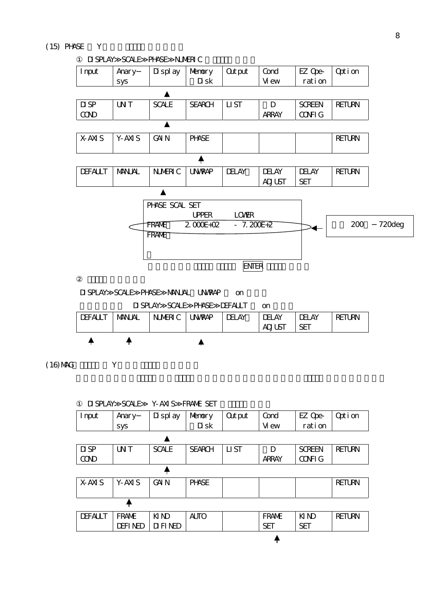## $(15)$  PHASE  $Y$



DISPLAY SCALE PHASE MANUAL UNWRAP on

DISPLAY SCALE PHASE DEFAULT on

| <b>DEFAULT</b> | <b>NANUAL</b> | NUMERIC | <b>UN/RAP</b> | <b>DELAY</b> | <b>DELAY</b><br><b>ADJUST</b> | dei ay<br>SE. | <b>RETURN</b> |
|----------------|---------------|---------|---------------|--------------|-------------------------------|---------------|---------------|
|                |               |         |               |              |                               |               |               |

 $(16)$  MAG Y

|                | DISPLAY SCALE   | Y-AXIS FRAMA SET |               |                |              |               |               |
|----------------|-----------------|------------------|---------------|----------------|--------------|---------------|---------------|
| I nput         | Anary           | Di spl ay        | Nemory        | <b>Out put</b> | Cond         | EZ Ope-       | Opti on       |
|                | sys             |                  | Di sk         |                | Vi ew        | ration        |               |
|                |                 |                  |               |                |              |               |               |
| $D$ SP         | UN <sub>T</sub> | <b>SCALE</b>     | <b>SEARCH</b> | LI ST          | D            | <b>SCREEN</b> | <b>RETURN</b> |
| <b>COND</b>    |                 |                  |               |                | <b>ARRAY</b> | <b>CONFIG</b> |               |
|                |                 |                  |               |                |              |               |               |
| X-AXI S        | Y-AXI S         | <b>GAIN</b>      | <b>PHASE</b>  |                |              |               | <b>RETURN</b> |
|                |                 |                  |               |                |              |               |               |
|                |                 |                  |               |                |              |               |               |
| <b>DEFAULT</b> | FRAME           | KI ND            | <b>AUTO</b>   |                | FRAME        | KI ND         | <b>RETURN</b> |
|                | <b>DEFINED</b>  | DI FINED         |               |                | <b>SET</b>   | <b>SET</b>    |               |
|                |                 |                  |               |                |              |               |               |